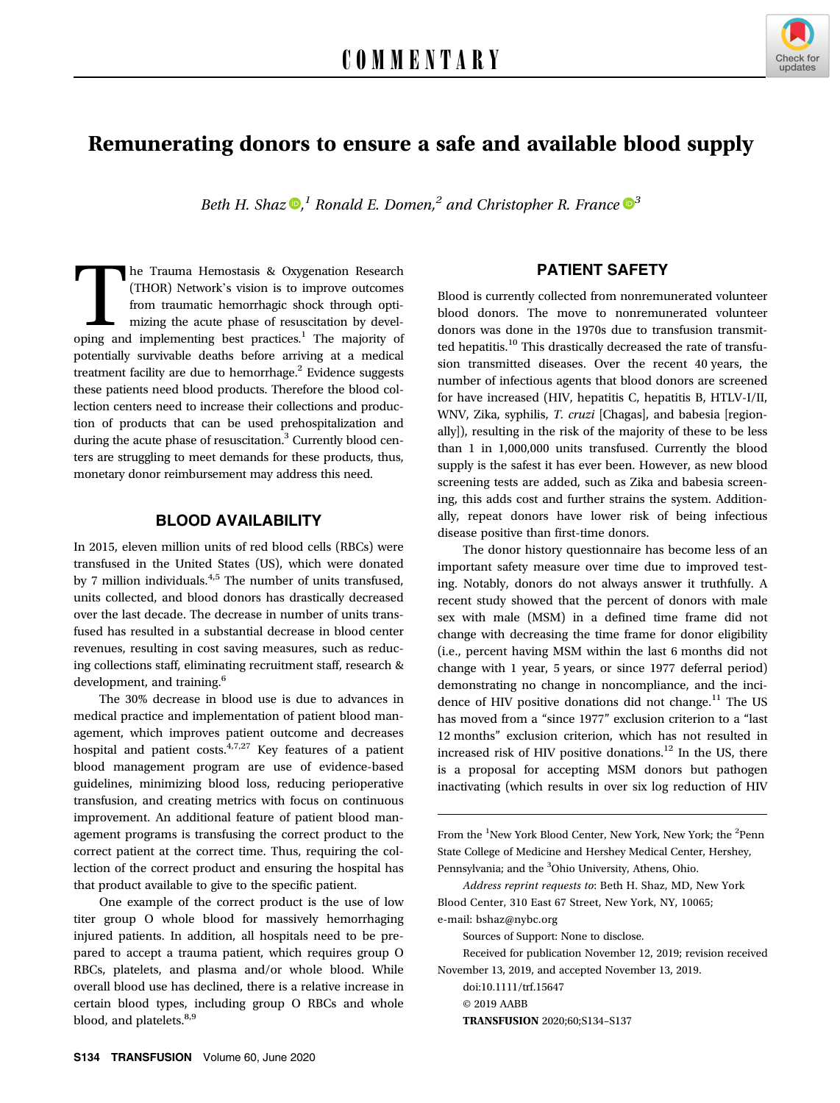

# Remunerating donors to ensure a safe and available blood supply

Beth H. Shaz  $\mathbf{D}$ ,<sup>1</sup> Ronald E. Domen.<sup>2</sup> and Christopher R. France  $\mathbf{D}^3$ 

The Trauma Hemostasis & Oxygenation Research<br>
(THOR) Network's vision is to improve outcomes<br>
from traumatic hemorrhagic shock through opti-<br>
mizing the acute phase of resuscitation by devel-<br>
oping and implementing best p (THOR) Network's vision is to improve outcomes from traumatic hemorrhagic shock through optimizing the acute phase of resuscitation by develpotentially survivable deaths before arriving at a medical treatment facility are due to hemorrhage.<sup>2</sup> Evidence suggests these patients need blood products. Therefore the blood collection centers need to increase their collections and production of products that can be used prehospitalization and during the acute phase of resuscitation.<sup>3</sup> Currently blood centers are struggling to meet demands for these products, thus, monetary donor reimbursement may address this need.

## BLOOD AVAILABILITY

In 2015, eleven million units of red blood cells (RBCs) were transfused in the United States (US), which were donated by 7 million individuals.<sup>4,5</sup> The number of units transfused, units collected, and blood donors has drastically decreased over the last decade. The decrease in number of units transfused has resulted in a substantial decrease in blood center revenues, resulting in cost saving measures, such as reducing collections staff, eliminating recruitment staff, research & development, and training.<sup>6</sup>

The 30% decrease in blood use is due to advances in medical practice and implementation of patient blood management, which improves patient outcome and decreases hospital and patient costs. $4,7,27$  Key features of a patient blood management program are use of evidence-based guidelines, minimizing blood loss, reducing perioperative transfusion, and creating metrics with focus on continuous improvement. An additional feature of patient blood management programs is transfusing the correct product to the correct patient at the correct time. Thus, requiring the collection of the correct product and ensuring the hospital has that product available to give to the specific patient.

One example of the correct product is the use of low titer group O whole blood for massively hemorrhaging injured patients. In addition, all hospitals need to be prepared to accept a trauma patient, which requires group O RBCs, platelets, and plasma and/or whole blood. While overall blood use has declined, there is a relative increase in certain blood types, including group O RBCs and whole blood, and platelets.<sup>8,9</sup>

# PATIENT SAFETY

Blood is currently collected from nonremunerated volunteer blood donors. The move to nonremunerated volunteer donors was done in the 1970s due to transfusion transmitted hepatitis.<sup>10</sup> This drastically decreased the rate of transfusion transmitted diseases. Over the recent 40 years, the number of infectious agents that blood donors are screened for have increased (HIV, hepatitis C, hepatitis B, HTLV-I/II, WNV, Zika, syphilis, T. cruzi [Chagas], and babesia [regionally]), resulting in the risk of the majority of these to be less than 1 in 1,000,000 units transfused. Currently the blood supply is the safest it has ever been. However, as new blood screening tests are added, such as Zika and babesia screening, this adds cost and further strains the system. Additionally, repeat donors have lower risk of being infectious disease positive than first-time donors.

The donor history questionnaire has become less of an important safety measure over time due to improved testing. Notably, donors do not always answer it truthfully. A recent study showed that the percent of donors with male sex with male (MSM) in a defined time frame did not change with decreasing the time frame for donor eligibility (i.e., percent having MSM within the last 6 months did not change with 1 year, 5 years, or since 1977 deferral period) demonstrating no change in noncompliance, and the incidence of HIV positive donations did not change. $^{11}$  The US has moved from a "since 1977" exclusion criterion to a "last 12 months" exclusion criterion, which has not resulted in increased risk of HIV positive donations. $^{12}$  In the US, there is a proposal for accepting MSM donors but pathogen inactivating (which results in over six log reduction of HIV

From the <sup>1</sup>New York Blood Center, New York, New York; the <sup>2</sup>Penn State College of Medicine and Hershey Medical Center, Hershey, Pennsylvania; and the <sup>3</sup>Ohio University, Athens, Ohio.

Address reprint requests to: Beth H. Shaz, MD, New York Blood Center, 310 East 67 Street, New York, NY, 10065; e-mail: [bshaz@nybc.org](mailto:bshaz@nybc.org)

Sources of Support: None to disclose.

Received for publication November 12, 2019; revision received November 13, 2019, and accepted November 13, 2019.

doi:10.1111/trf.15647 © 2019 AABB TRANSFUSION 2020;60;S134–S137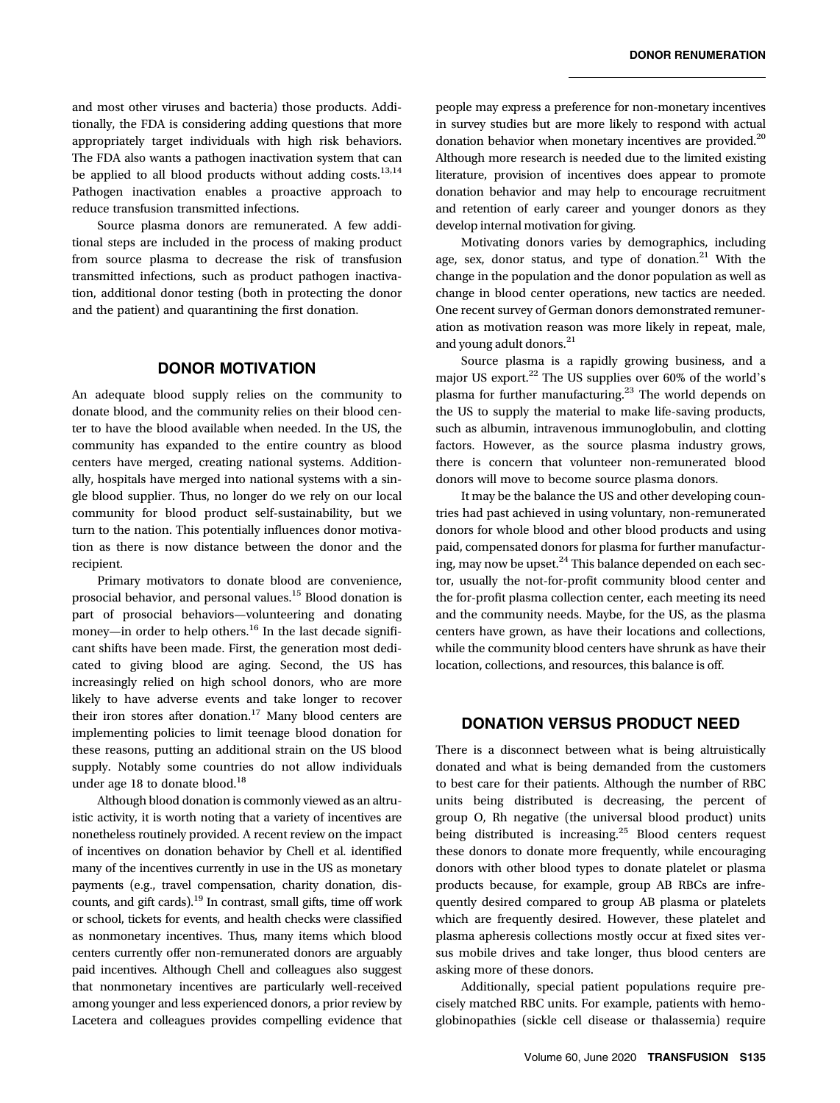and most other viruses and bacteria) those products. Additionally, the FDA is considering adding questions that more appropriately target individuals with high risk behaviors. The FDA also wants a pathogen inactivation system that can be applied to all blood products without adding costs.<sup>13,14</sup> Pathogen inactivation enables a proactive approach to reduce transfusion transmitted infections.

Source plasma donors are remunerated. A few additional steps are included in the process of making product from source plasma to decrease the risk of transfusion transmitted infections, such as product pathogen inactivation, additional donor testing (both in protecting the donor and the patient) and quarantining the first donation.

### DONOR MOTIVATION

An adequate blood supply relies on the community to donate blood, and the community relies on their blood center to have the blood available when needed. In the US, the community has expanded to the entire country as blood centers have merged, creating national systems. Additionally, hospitals have merged into national systems with a single blood supplier. Thus, no longer do we rely on our local community for blood product self-sustainability, but we turn to the nation. This potentially influences donor motivation as there is now distance between the donor and the recipient.

Primary motivators to donate blood are convenience, prosocial behavior, and personal values.<sup>15</sup> Blood donation is part of prosocial behaviors—volunteering and donating money—in order to help others. $^{16}$  In the last decade significant shifts have been made. First, the generation most dedicated to giving blood are aging. Second, the US has increasingly relied on high school donors, who are more likely to have adverse events and take longer to recover their iron stores after donation.<sup>17</sup> Many blood centers are implementing policies to limit teenage blood donation for these reasons, putting an additional strain on the US blood supply. Notably some countries do not allow individuals under age 18 to donate blood. $18$ 

Although blood donation is commonly viewed as an altruistic activity, it is worth noting that a variety of incentives are nonetheless routinely provided. A recent review on the impact of incentives on donation behavior by Chell et al. identified many of the incentives currently in use in the US as monetary payments (e.g., travel compensation, charity donation, discounts, and gift cards).19 In contrast, small gifts, time off work or school, tickets for events, and health checks were classified as nonmonetary incentives. Thus, many items which blood centers currently offer non-remunerated donors are arguably paid incentives. Although Chell and colleagues also suggest that nonmonetary incentives are particularly well-received among younger and less experienced donors, a prior review by Lacetera and colleagues provides compelling evidence that

people may express a preference for non-monetary incentives in survey studies but are more likely to respond with actual donation behavior when monetary incentives are provided. $20$ Although more research is needed due to the limited existing literature, provision of incentives does appear to promote donation behavior and may help to encourage recruitment and retention of early career and younger donors as they develop internal motivation for giving.

Motivating donors varies by demographics, including age, sex, donor status, and type of donation. $21$  With the change in the population and the donor population as well as change in blood center operations, new tactics are needed. One recent survey of German donors demonstrated remuneration as motivation reason was more likely in repeat, male, and young adult donors.<sup>21</sup>

Source plasma is a rapidly growing business, and a major US export.<sup>22</sup> The US supplies over 60% of the world's plasma for further manufacturing.<sup>23</sup> The world depends on the US to supply the material to make life-saving products, such as albumin, intravenous immunoglobulin, and clotting factors. However, as the source plasma industry grows, there is concern that volunteer non-remunerated blood donors will move to become source plasma donors.

It may be the balance the US and other developing countries had past achieved in using voluntary, non-remunerated donors for whole blood and other blood products and using paid, compensated donors for plasma for further manufacturing, may now be upset. $^{24}$  This balance depended on each sector, usually the not-for-profit community blood center and the for-profit plasma collection center, each meeting its need and the community needs. Maybe, for the US, as the plasma centers have grown, as have their locations and collections, while the community blood centers have shrunk as have their location, collections, and resources, this balance is off.

## DONATION VERSUS PRODUCT NEED

There is a disconnect between what is being altruistically donated and what is being demanded from the customers to best care for their patients. Although the number of RBC units being distributed is decreasing, the percent of group O, Rh negative (the universal blood product) units being distributed is increasing.<sup>25</sup> Blood centers request these donors to donate more frequently, while encouraging donors with other blood types to donate platelet or plasma products because, for example, group AB RBCs are infrequently desired compared to group AB plasma or platelets which are frequently desired. However, these platelet and plasma apheresis collections mostly occur at fixed sites versus mobile drives and take longer, thus blood centers are asking more of these donors.

Additionally, special patient populations require precisely matched RBC units. For example, patients with hemoglobinopathies (sickle cell disease or thalassemia) require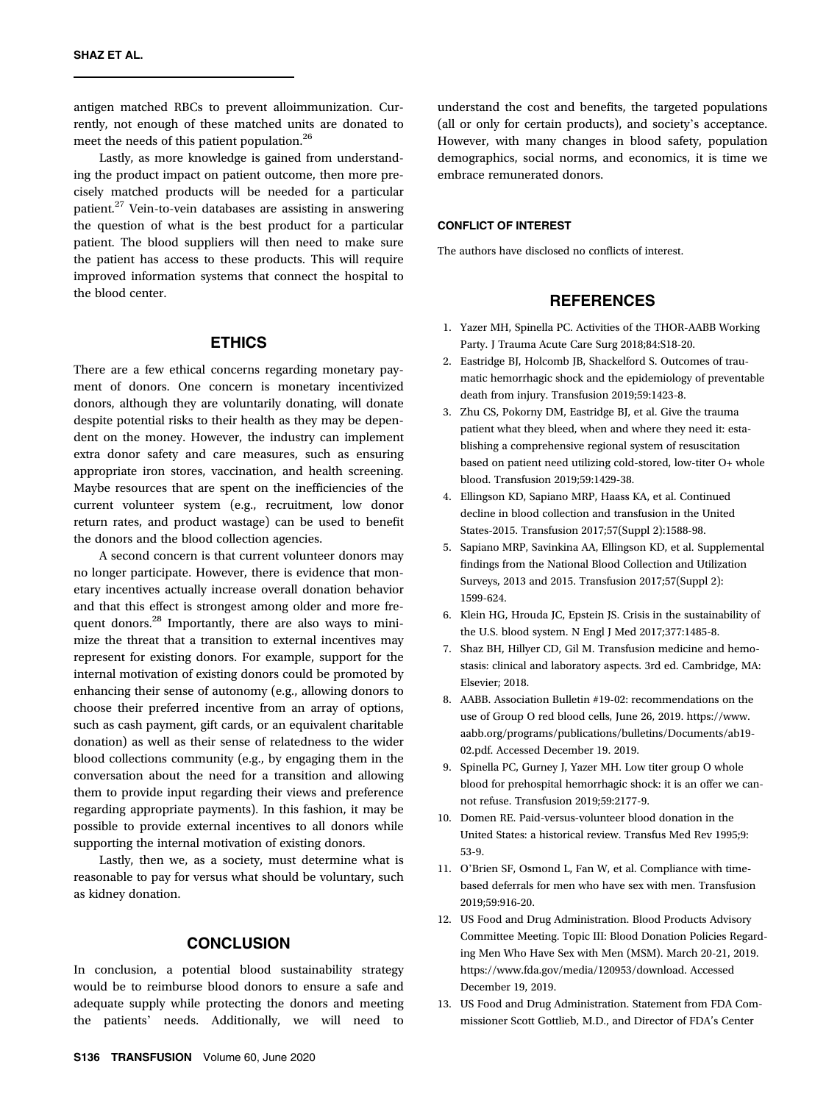antigen matched RBCs to prevent alloimmunization. Currently, not enough of these matched units are donated to meet the needs of this patient population.26

Lastly, as more knowledge is gained from understanding the product impact on patient outcome, then more precisely matched products will be needed for a particular patient.<sup>27</sup> Vein-to-vein databases are assisting in answering the question of what is the best product for a particular patient. The blood suppliers will then need to make sure the patient has access to these products. This will require improved information systems that connect the hospital to the blood center.

#### ETHICS

There are a few ethical concerns regarding monetary payment of donors. One concern is monetary incentivized donors, although they are voluntarily donating, will donate despite potential risks to their health as they may be dependent on the money. However, the industry can implement extra donor safety and care measures, such as ensuring appropriate iron stores, vaccination, and health screening. Maybe resources that are spent on the inefficiencies of the current volunteer system (e.g., recruitment, low donor return rates, and product wastage) can be used to benefit the donors and the blood collection agencies.

A second concern is that current volunteer donors may no longer participate. However, there is evidence that monetary incentives actually increase overall donation behavior and that this effect is strongest among older and more frequent donors.<sup>28</sup> Importantly, there are also ways to minimize the threat that a transition to external incentives may represent for existing donors. For example, support for the internal motivation of existing donors could be promoted by enhancing their sense of autonomy (e.g., allowing donors to choose their preferred incentive from an array of options, such as cash payment, gift cards, or an equivalent charitable donation) as well as their sense of relatedness to the wider blood collections community (e.g., by engaging them in the conversation about the need for a transition and allowing them to provide input regarding their views and preference regarding appropriate payments). In this fashion, it may be possible to provide external incentives to all donors while supporting the internal motivation of existing donors.

Lastly, then we, as a society, must determine what is reasonable to pay for versus what should be voluntary, such as kidney donation.

#### **CONCLUSION**

In conclusion, a potential blood sustainability strategy would be to reimburse blood donors to ensure a safe and adequate supply while protecting the donors and meeting the patients' needs. Additionally, we will need to

understand the cost and benefits, the targeted populations (all or only for certain products), and society's acceptance. However, with many changes in blood safety, population demographics, social norms, and economics, it is time we embrace remunerated donors.

#### CONFLICT OF INTEREST

The authors have disclosed no conflicts of interest.

#### **REFERENCES**

- 1. Yazer MH, Spinella PC. Activities of the THOR-AABB Working Party. J Trauma Acute Care Surg 2018;84:S18-20.
- 2. Eastridge BJ, Holcomb JB, Shackelford S. Outcomes of traumatic hemorrhagic shock and the epidemiology of preventable death from injury. Transfusion 2019;59:1423-8.
- 3. Zhu CS, Pokorny DM, Eastridge BJ, et al. Give the trauma patient what they bleed, when and where they need it: establishing a comprehensive regional system of resuscitation based on patient need utilizing cold-stored, low-titer O+ whole blood. Transfusion 2019;59:1429-38.
- 4. Ellingson KD, Sapiano MRP, Haass KA, et al. Continued decline in blood collection and transfusion in the United States-2015. Transfusion 2017;57(Suppl 2):1588-98.
- 5. Sapiano MRP, Savinkina AA, Ellingson KD, et al. Supplemental findings from the National Blood Collection and Utilization Surveys, 2013 and 2015. Transfusion 2017;57(Suppl 2): 1599-624.
- 6. Klein HG, Hrouda JC, Epstein JS. Crisis in the sustainability of the U.S. blood system. N Engl J Med 2017;377:1485-8.
- 7. Shaz BH, Hillyer CD, Gil M. Transfusion medicine and hemostasis: clinical and laboratory aspects. 3rd ed. Cambridge, MA: Elsevier; 2018.
- 8. AABB. Association Bulletin #19-02: recommendations on the use of Group O red blood cells, June 26, 2019. [https://www.](https://www.aabb.org/programs/publications/bulletins/Documents/ab19-02.pdf) [aabb.org/programs/publications/bulletins/Documents/ab19-](https://www.aabb.org/programs/publications/bulletins/Documents/ab19-02.pdf) [02.pdf.](https://www.aabb.org/programs/publications/bulletins/Documents/ab19-02.pdf) Accessed December 19. 2019.
- 9. Spinella PC, Gurney J, Yazer MH. Low titer group O whole blood for prehospital hemorrhagic shock: it is an offer we cannot refuse. Transfusion 2019;59:2177-9.
- 10. Domen RE. Paid-versus-volunteer blood donation in the United States: a historical review. Transfus Med Rev 1995;9: 53-9.
- 11. O'Brien SF, Osmond L, Fan W, et al. Compliance with timebased deferrals for men who have sex with men. Transfusion 2019;59:916-20.
- 12. US Food and Drug Administration. Blood Products Advisory Committee Meeting. Topic III: Blood Donation Policies Regarding Men Who Have Sex with Men (MSM). March 20-21, 2019. <https://www.fda.gov/media/120953/download>. Accessed December 19, 2019.
- 13. US Food and Drug Administration. Statement from FDA Commissioner Scott Gottlieb, M.D., and Director of FDA's Center